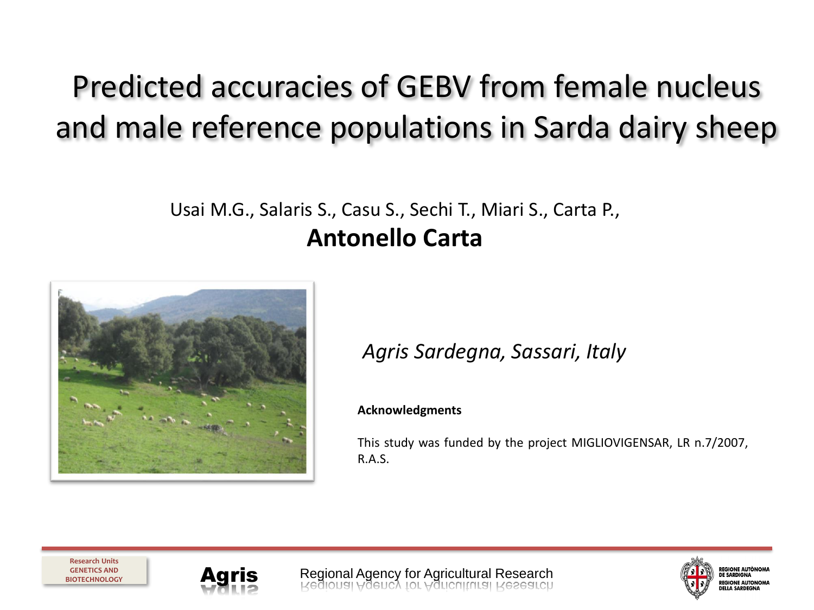# Predicted accuracies of GEBV from female nucleus and male reference populations in Sarda dairy sheep

#### Usai M.G., Salaris S., Casu S., Sechi T., Miari S., Carta P., **Antonello Carta**



#### *Agris Sardegna, Sassari, Italy*

#### **Acknowledgments**

This study was funded by the project MIGLIOVIGENSAR, LR n.7/2007, R.A.S.





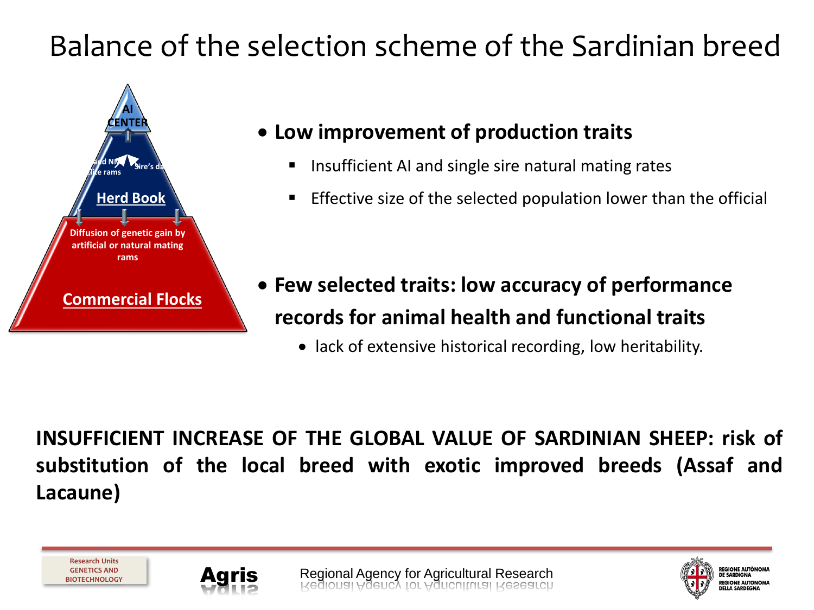# Balance of the selection scheme of the Sardinian breed



**Research Units GENETICS AND BIOTECHNOLOGY**

#### • **Low improvement of production traits**

- Insufficient AI and single sire natural mating rates
- Effective size of the selected population lower than the official

- **Few selected traits: low accuracy of performance records for animal health and functional traits**
	- lack of extensive historical recording, low heritability.

REGIONE AUTÒNOMA **DE SARDIGNA PEGIONE AUTONOMA NELLA SAPREGNA** 

**INSUFFICIENT INCREASE OF THE GLOBAL VALUE OF SARDINIAN SHEEP: risk of substitution of the local breed with exotic improved breeds (Assaf and Lacaune)**

Agris Regional Agency for Agricultural Research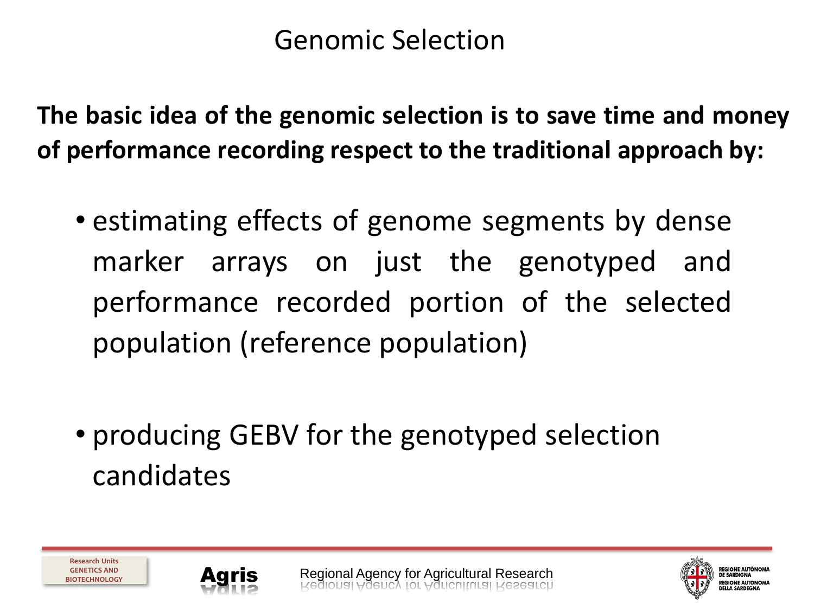#### Genomic Selection

**The basic idea of the genomic selection is to save time and money of performance recording respect to the traditional approach by:**

- estimating effects of genome segments by dense marker arrays on just the genotyped and performance recorded portion of the selected population (reference population)
- producing GEBV for the genotyped selection candidates



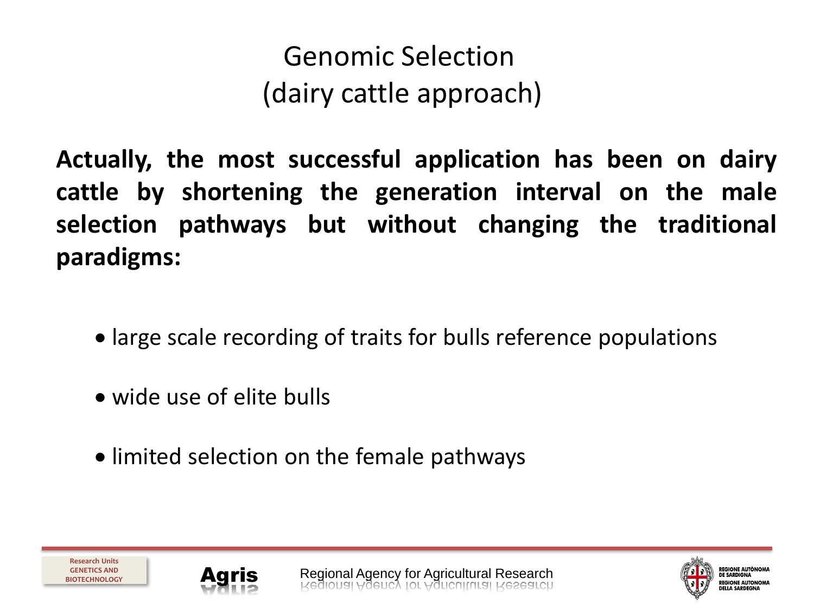# Genomic Selection (dairy cattle approach)

**Actually, the most successful application has been on dairy cattle by shortening the generation interval on the male selection pathways but without changing the traditional paradigms:**

- large scale recording of traits for bulls reference populations
- wide use of elite bulls
- limited selection on the female pathways





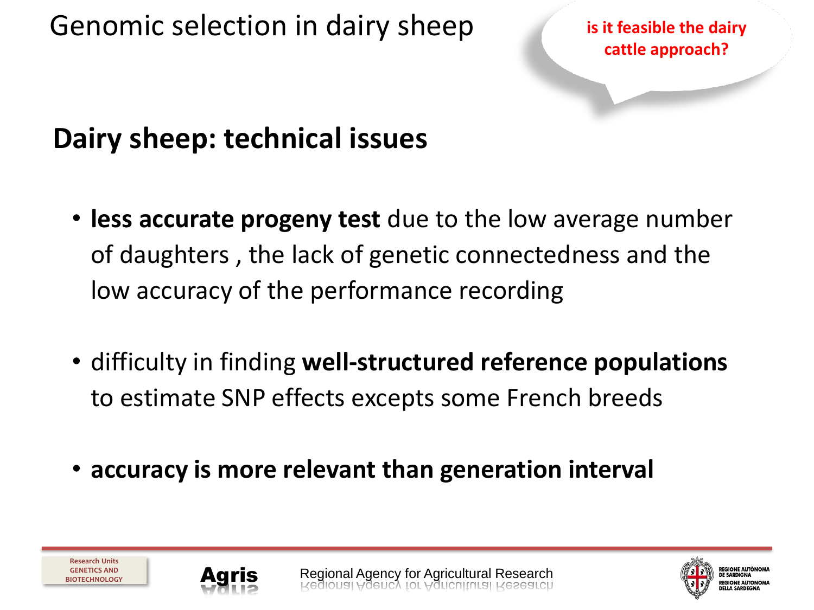Genomic selection in dairy sheep

**is it feasible the dairy cattle approach?**

## **Dairy sheep: technical issues**

- **less accurate progeny test** due to the low average number of daughters , the lack of genetic connectedness and the low accuracy of the performance recording
- difficulty in finding **well-structured reference populations**  to estimate SNP effects excepts some French breeds
- **accuracy is more relevant than generation interval**



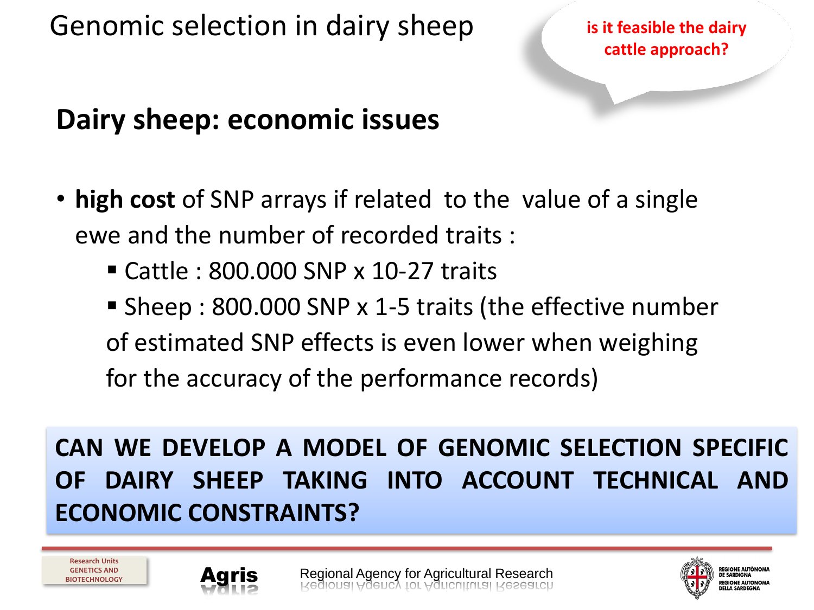Genomic selection in dairy sheep **is it feasible the dairy**

**cattle approach?**

## **Dairy sheep: economic issues**

- **high cost** of SNP arrays if related to the value of a single ewe and the number of recorded traits :
	- $\blacksquare$  Cattle : 800.000 SNP x 10-27 traits
	- Sheep: 800.000 SNP x 1-5 traits (the effective number of estimated SNP effects is even lower when weighing for the accuracy of the performance records)

**CAN WE DEVELOP A MODEL OF GENOMIC SELECTION SPECIFIC OF DAIRY SHEEP TAKING INTO ACCOUNT TECHNICAL AND ECONOMIC CONSTRAINTS?**



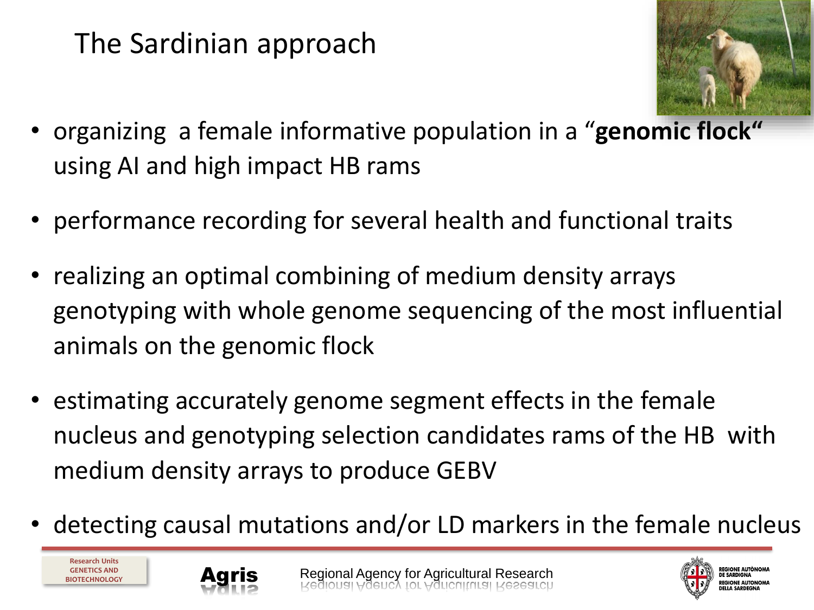# The Sardinian approach



- organizing a female informative population in a "**genomic flock"**  using AI and high impact HB rams
- performance recording for several health and functional traits
- realizing an optimal combining of medium density arrays genotyping with whole genome sequencing of the most influential animals on the genomic flock
- estimating accurately genome segment effects in the female nucleus and genotyping selection candidates rams of the HB with medium density arrays to produce GEBV
- detecting causal mutations and/or LD markers in the female nucleus



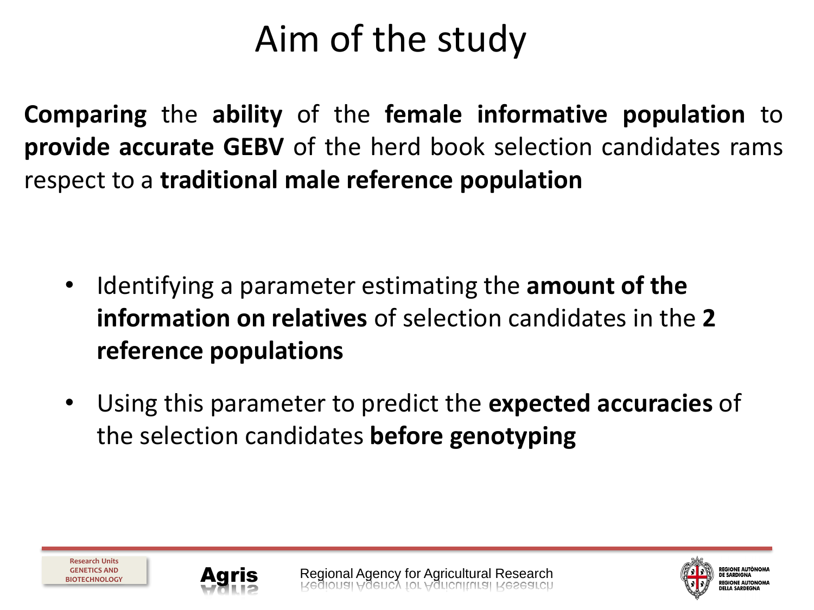# Aim of the study

**Comparing** the **ability** of the **female informative population** to **provide accurate GEBV** of the herd book selection candidates rams respect to a **traditional male reference population**

- Identifying a parameter estimating the **amount of the information on relatives** of selection candidates in the **2 reference populations**
- Using this parameter to predict the **expected accuracies** of the selection candidates **before genotyping**





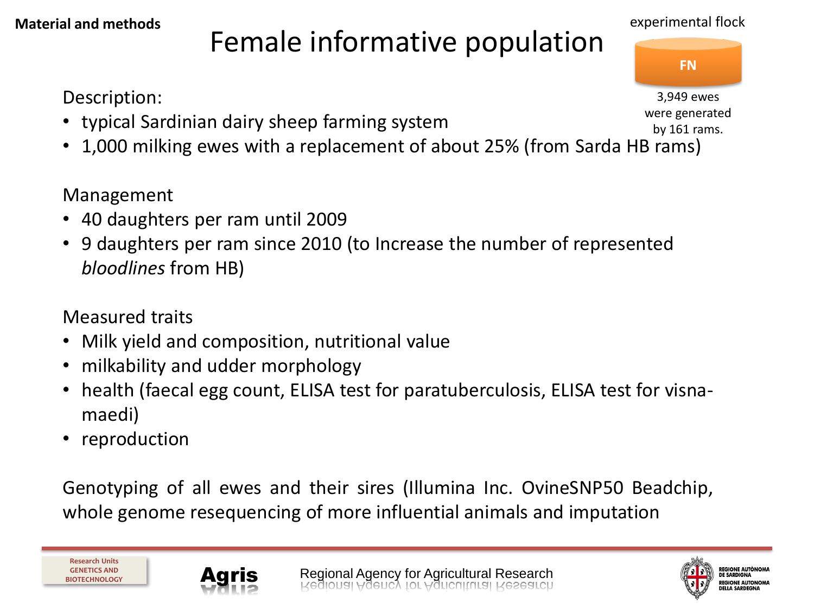# Female informative population

Description:

- typical Sardinian dairy sheep farming system
- 1,000 milking ewes with a replacement of about 25% (from Sarda HB rams)

Management

- 40 daughters per ram until 2009
- 9 daughters per ram since 2010 (to Increase the number of represented *bloodlines* from HB)

Measured traits

- Milk yield and composition, nutritional value
- milkability and udder morphology
- health (faecal egg count, ELISA test for paratuberculosis, ELISA test for visnamaedi)
- **reproduction**

Genotyping of all ewes and their sires (Illumina Inc. OvineSNP50 Beadchip, whole genome resequencing of more influential animals and imputation

3,949 ewes were generated by 161 rams.



**Research Units GENETICS AND BIOTECHNOLOGY**





#### experimental flock

**FN**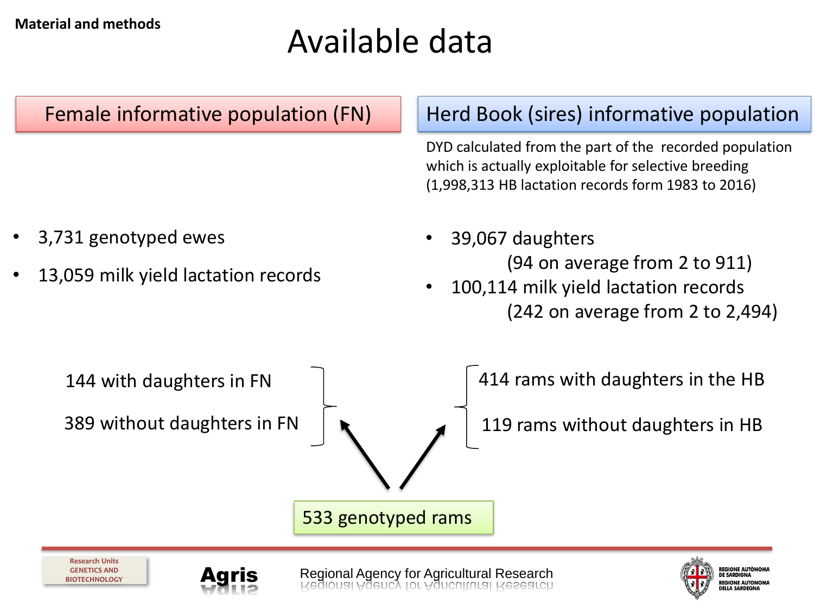# Available data

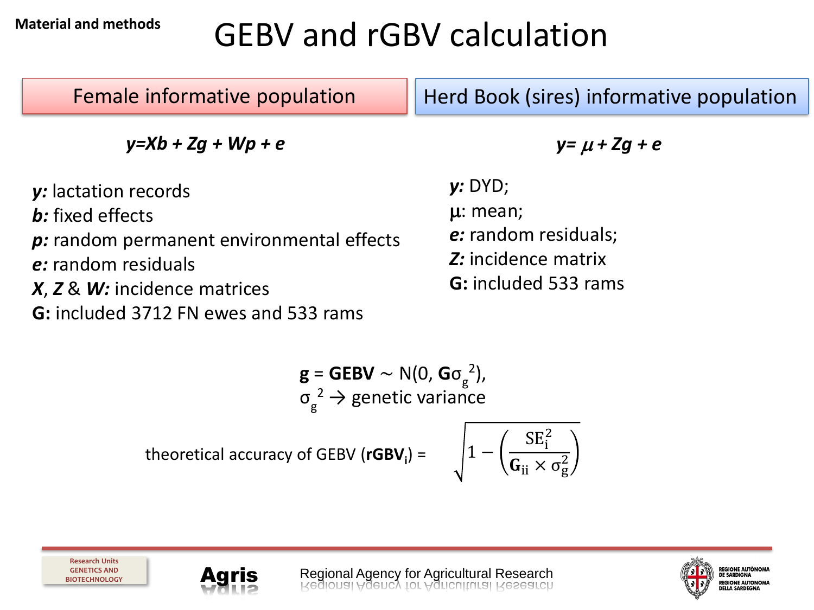#### **Material and methods**

# GEBV and rGBV calculation

| Female informative population                                                                                                                                                                 | Herd Book (sires) informative population                                                               |
|-----------------------------------------------------------------------------------------------------------------------------------------------------------------------------------------------|--------------------------------------------------------------------------------------------------------|
| $y=Xb+Zg+Wp+e$                                                                                                                                                                                | $y = \mu + Zg + e$                                                                                     |
| y: lactation records<br><b>b</b> : fixed effects<br>p: random permanent environmental effects<br>e: random residuals<br>X, Z & W: incidence matrices<br>G: included 3712 FN ewes and 533 rams | y: DYD;<br>$\mu$ : mean;<br>e: random residuals;<br>Z: incidence matrix<br><b>G:</b> included 533 rams |

$$
\mathbf{g} = \mathbf{GEBV} \sim N(0, \mathbf{G}\sigma_{g}^{2}),
$$

$$
\sigma_{g}^{2} \rightarrow \text{genetic variance}
$$
theoretical accuracy of GEBV (rGBV<sub>i</sub>) = 
$$
\sqrt{1 - \left(\frac{SE_{i}^{2}}{G_{ii} \times \sigma_{g}^{2}}\right)}
$$

![](_page_10_Picture_4.jpeg)

![](_page_10_Picture_6.jpeg)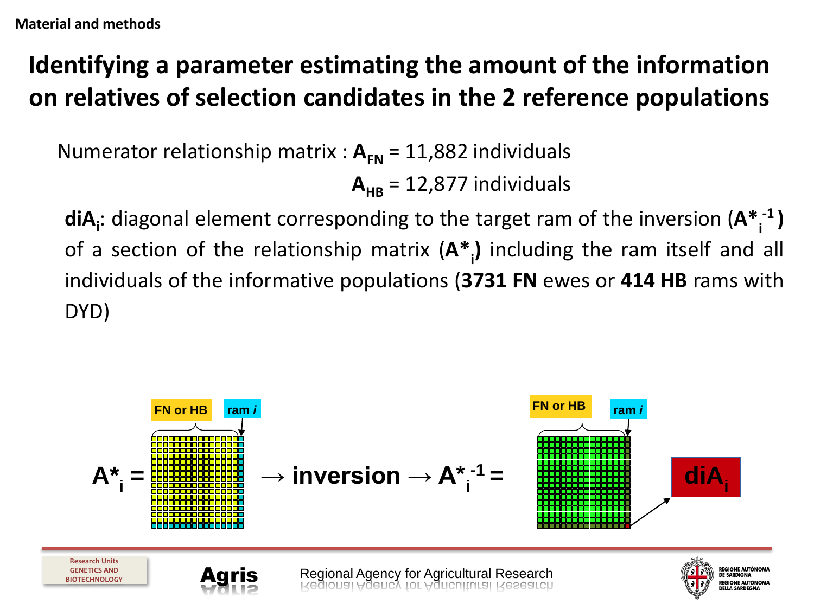## **Identifying a parameter estimating the amount of the information on relatives of selection candidates in the 2 reference populations**

Numerator relationship matrix :  $A_{FN} = 11,882$  individuals

$$
\mathbf{A}_{\mathsf{HB}} = 12,877 \text{ individuals}
$$

**diA<sup>i</sup>** : diagonal element corresponding to the target ram of the inversion (**A\*<sup>i</sup> -1 )** of a section of the relationship matrix (**A\*<sup>i</sup> )** including the ram itself and all individuals of the informative populations (**3731 FN** ewes or **414 HB** rams with DYD)

![](_page_11_Figure_5.jpeg)

**DELLA SARDEGNA**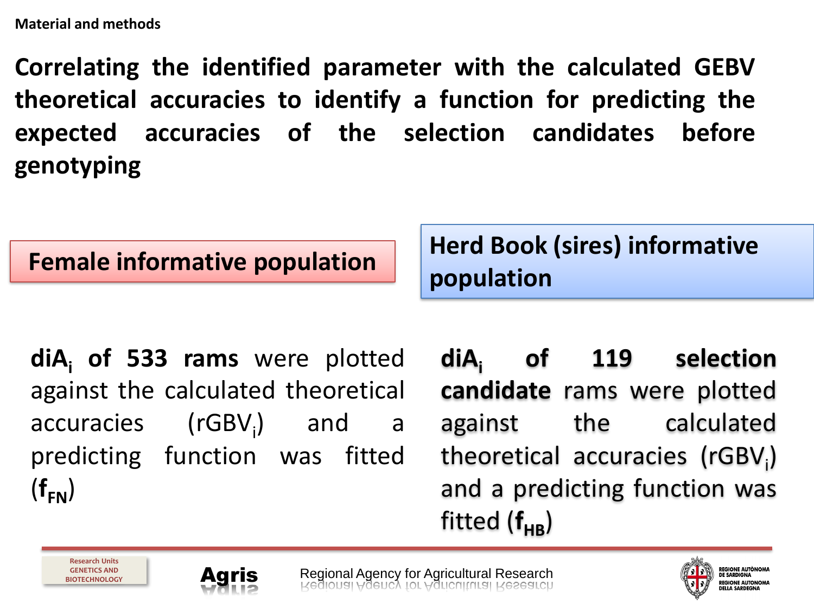**Correlating the identified parameter with the calculated GEBV theoretical accuracies to identify a function for predicting the expected accuracies of the selection candidates before genotyping**

**Female informative population** | Herd Book (sires) informative **population**

**diA<sup>i</sup> of 533 rams** were plotted against the calculated theoretical accuracies (rGBV<sub>i</sub>) and a predicting function was fitted  $(f_{FN})$ 

**diA<sup>i</sup> of 119 selection candidate** rams were plotted against the calculated theoretical accuracies (rGBV<sub>i</sub>) and a predicting function was fitted  $(f_{HR})$ 

**Research Units GENETICS AND BIOTECHNOLOGY**

![](_page_12_Picture_7.jpeg)

Agris Regional Agency for Agricultural Research

![](_page_12_Picture_9.jpeg)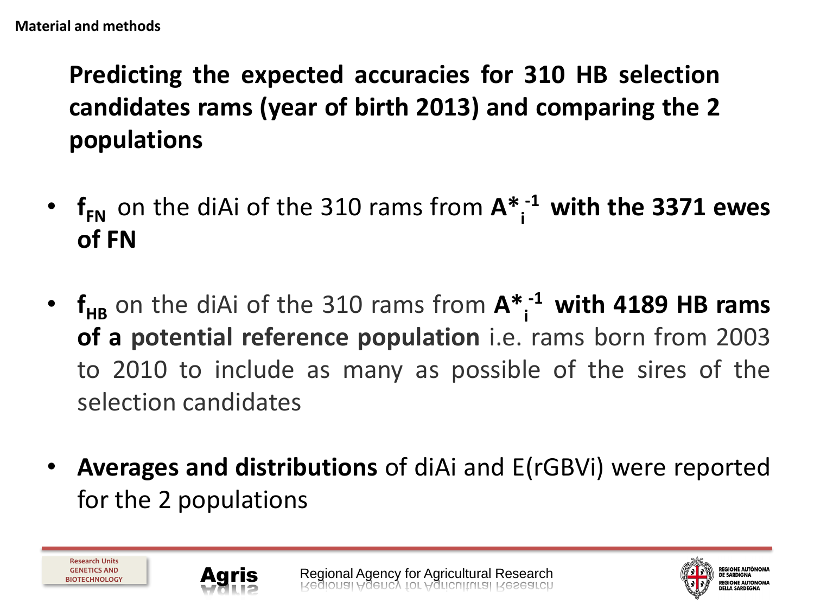## **Predicting the expected accuracies for 310 HB selection candidates rams (year of birth 2013) and comparing the 2 populations**

- $f_{FN}$  on the diAi of the 310 rams from  $A^{*}$ <sup>1</sup> with the 3371 ewes **of FN**
- $f_{HB}$  on the diAi of the 310 rams from  $A^*$ <sup>-1</sup> with 4189 HB rams **of a potential reference population** i.e. rams born from 2003 to 2010 to include as many as possible of the sires of the selection candidates
- **Averages and distributions** of diAi and E(rGBVi) were reported for the 2 populations

![](_page_13_Picture_6.jpeg)

![](_page_13_Picture_8.jpeg)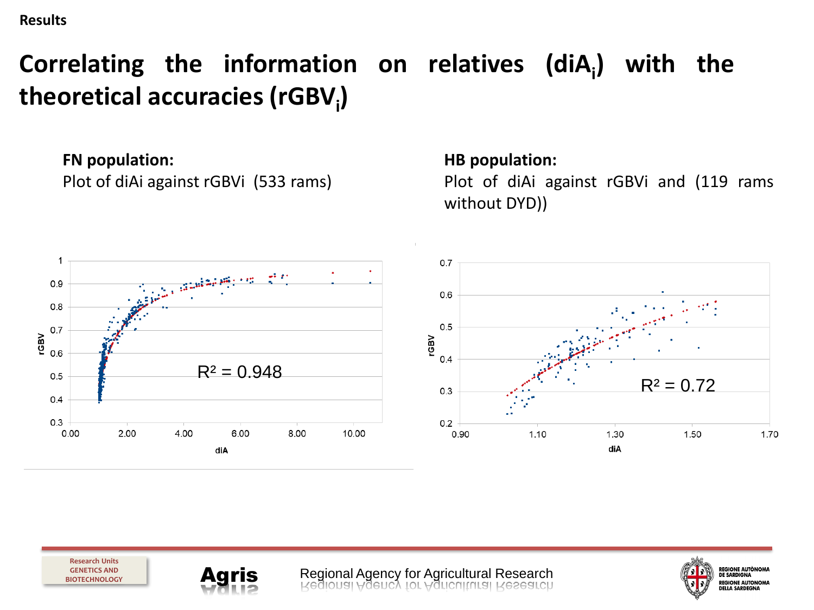#### **Results**

## **Correlating the information on relatives (diA<sup>i</sup> ) with the theoretical accuracies (rGBV<sup>i</sup> )**

**FN population:**

Plot of diAi against rGBVi (533 rams)

**HB population:**

Plot of diAi against rGBVi and (119 rams without DYD))

![](_page_14_Figure_6.jpeg)

![](_page_14_Picture_7.jpeg)

![](_page_14_Picture_8.jpeg)

**Agris** Regional Agency for Agricultural Research<br>Rediousi Hollic A Lot Hollenifrical Research

![](_page_14_Picture_10.jpeg)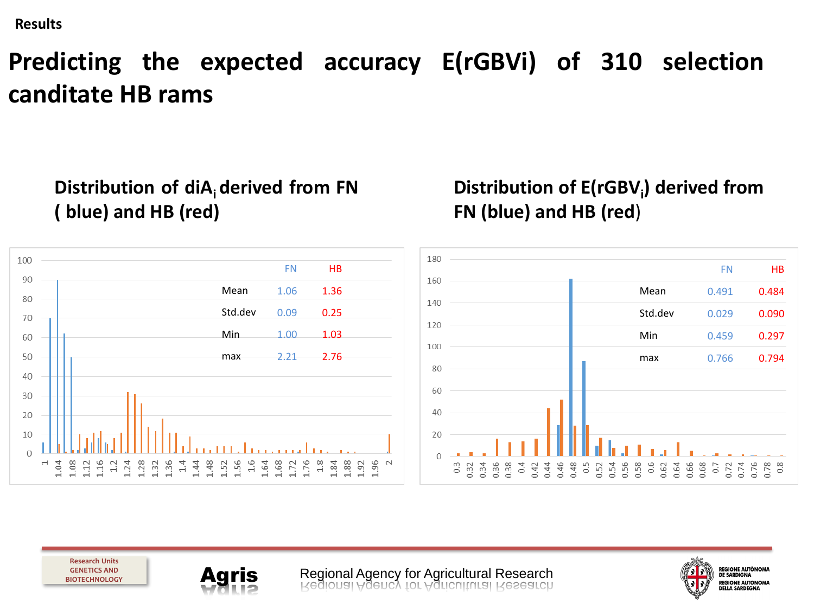**Results**

## **Predicting the expected accuracy E(rGBVi) of 310 selection canditate HB rams**

**Distribution of diA<sup>i</sup> derived from FN ( blue) and HB (red)**

**Distribution of E(rGBV<sup>i</sup> ) derived from FN (blue) and HB (red**)

![](_page_15_Figure_4.jpeg)

**Research Units GENETICS AND BIOTECHNOLOGY**

![](_page_15_Picture_6.jpeg)

**Agris** Regional Agency for Agricultural Research<br>Rediousi Weber A Lot Matterliftusi Research

![](_page_15_Picture_8.jpeg)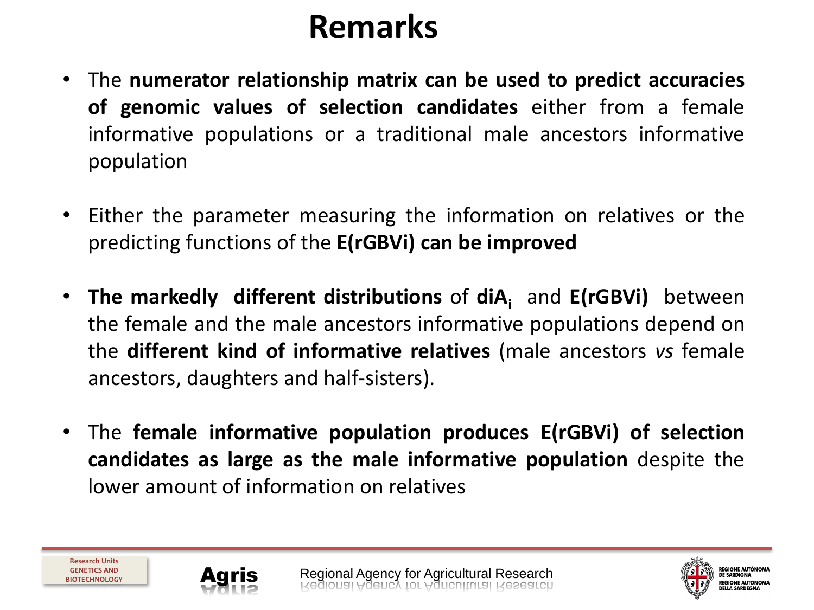# **Remarks**

- The **numerator relationship matrix can be used to predict accuracies of genomic values of selection candidates** either from a female informative populations or a traditional male ancestors informative population
- Either the parameter measuring the information on relatives or the predicting functions of the **E(rGBVi) can be improved**
- **The markedly different distributions** of **diA<sup>i</sup>** and **E(rGBVi)** between the female and the male ancestors informative populations depend on the **different kind of informative relatives** (male ancestors *vs* female ancestors, daughters and half-sisters).
- The **female informative population produces E(rGBVi) of selection candidates as large as the male informative population** despite the lower amount of information on relatives

![](_page_16_Picture_6.jpeg)

![](_page_16_Picture_8.jpeg)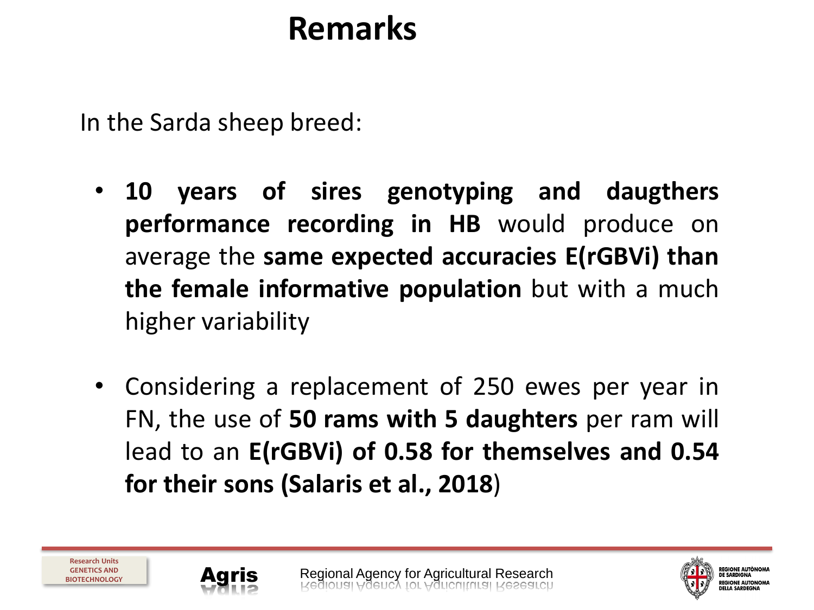# **Remarks**

In the Sarda sheep breed:

- **10 years of sires genotyping and daugthers performance recording in HB** would produce on average the **same expected accuracies E(rGBVi) than the female informative population** but with a much higher variability
- Considering a replacement of 250 ewes per year in FN, the use of **50 rams with 5 daughters** per ram will lead to an **E(rGBVi) of 0.58 for themselves and 0.54 for their sons (Salaris et al., 2018**)

![](_page_17_Picture_5.jpeg)

![](_page_17_Picture_7.jpeg)